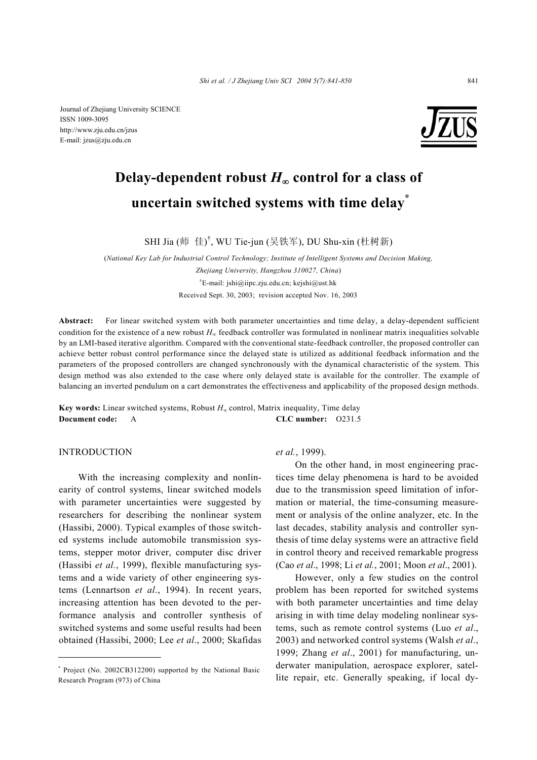Journal of Zhejiang University SCIENCE ISSN 1009-3095 http://www.zju.edu.cn/jzus E-mail: jzus@zju.edu.cn



# Delay-dependent robust  $H_{\infty}$  control for a class of  **uncertain switched systems with time delay\***

SHI Jia (师 佳) † , WU Tie-jun (吴铁军), DU Shu-xin (杜树新)

(*National Key Lab for Industrial Control Technology; Institute of Intelligent Systems and Decision Making, Zhejiang University, Hangzhou 310027, China*) † E-mail: jshi@iipc.zju.edu.cn; kejshi@ust.hk Received Sept. 30, 2003; revision accepted Nov. 16, 2003

**Abstract:** For linear switched system with both parameter uncertainties and time delay, a delay-dependent sufficient condition for the existence of a new robust *H*∞ feedback controller was formulated in nonlinear matrix inequalities solvable by an LMI-based iterative algorithm. Compared with the conventional state-feedback controller, the proposed controller can achieve better robust control performance since the delayed state is utilized as additional feedback information and the parameters of the proposed controllers are changed synchronously with the dynamical characteristic of the system. This design method was also extended to the case where only delayed state is available for the controller. The example of balancing an inverted pendulum on a cart demonstrates the effectiveness and applicability of the proposed design methods.

**Key words:** Linear switched systems, Robust  $H_{\infty}$  control, Matrix inequality, Time delay **Document code:** A **CLC number:** O231.5

## INTRODUCTION

With the increasing complexity and nonlinearity of control systems, linear switched models with parameter uncertainties were suggested by researchers for describing the nonlinear system (Hassibi, 2000). Typical examples of those switched systems include automobile transmission systems, stepper motor driver, computer disc driver (Hassibi *et al.*, 1999), flexible manufacturing systems and a wide variety of other engineering systems (Lennartson *et al*., 1994). In recent years, increasing attention has been devoted to the performance analysis and controller synthesis of switched systems and some useful results had been obtained (Hassibi, 2000; Lee *et al*., 2000; Skafidas

#### *et al.*, 1999).

On the other hand, in most engineering practices time delay phenomena is hard to be avoided due to the transmission speed limitation of information or material, the time-consuming measurement or analysis of the online analyzer, etc. In the last decades, stability analysis and controller synthesis of time delay systems were an attractive field in control theory and received remarkable progress (Cao *et al*., 1998; Li *et al.*, 2001; Moon *et al*., 2001).

However, only a few studies on the control problem has been reported for switched systems with both parameter uncertainties and time delay arising in with time delay modeling nonlinear systems, such as remote control systems (Luo *et al*., 2003) and networked control systems (Walsh *et al*., 1999; Zhang *et al*., 2001) for manufacturing, underwater manipulation, aerospace explorer, satellite repair, etc. Generally speaking, if local dy-

<sup>\*</sup> Project (No. 2002CB312200) supported by the National Basic Research Program (973) of China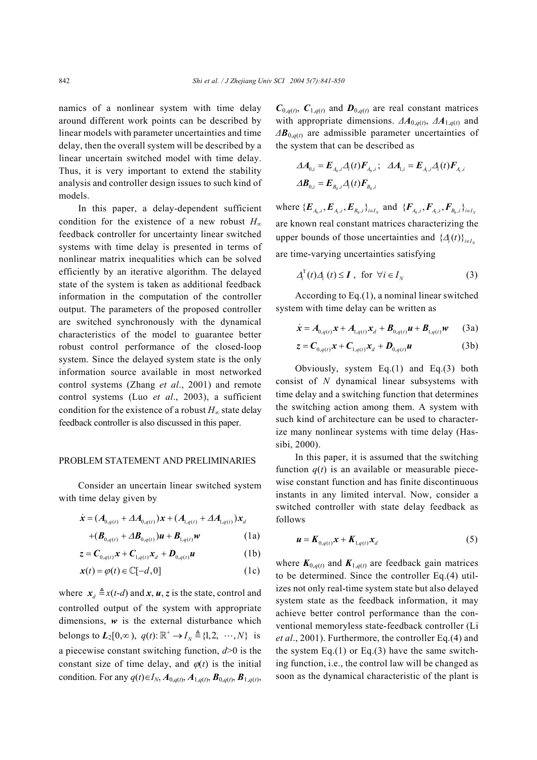namics of a nonlinear system with time delay around different work points can be described by linear models with parameter uncertainties and time delay, then the overall system will be described by a linear uncertain switched model with time delay. Thus, it is very important to extend the stability analysis and controller design issues to such kind of models.

In this paper, a delay-dependent sufficient condition for the existence of a new robust *H*<sup>∞</sup> feedback controller for uncertainty linear switched systems with time delay is presented in terms of nonlinear matrix inequalities which can be solved efficiently by an iterative algorithm. The delayed state of the system is taken as additional feedback information in the computation of the controller output. The parameters of the proposed controller are switched synchronously with the dynamical characteristics of the model to guarantee better robust control performance of the closed-loop system. Since the delayed system state is the only information source available in most networked control systems (Zhang *et al*., 2001) and remote control systems (Luo *et al*., 2003), a sufficient condition for the existence of a robust  $H_{\infty}$  state delay feedback controller is also discussed in this paper.

### PROBLEM STATEMENT AND PRELIMINARIES

Consider an uncertain linear switched system with time delay given by

$$
\dot{\mathbf{x}} = (A_{0,q(t)} + \Delta A_{0,q(t)})\mathbf{x} + (A_{1,q(t)} + \Delta A_{1,q(t)})\mathbf{x}_d
$$

$$
+(\boldsymbol{B}_{0,q(t)} + \Delta \boldsymbol{B}_{0,q(t)})\boldsymbol{u} + \boldsymbol{B}_{1,q(t)}\boldsymbol{w} \tag{1a}
$$

$$
z = \boldsymbol{C}_{0,q(t)} \boldsymbol{x} + \boldsymbol{C}_{1,q(t)} \boldsymbol{x}_d + \boldsymbol{D}_{0,q(t)} \boldsymbol{u}
$$
 (1b)

$$
\mathbf{x}(t) = \varphi(t) \in \mathbb{C}[-d, 0] \tag{1c}
$$

where  $x_d \triangleq x(t-d)$  and  $x, u, z$  is the state, control and controlled output of the system with appropriate dimensions,  $w$  is the external disturbance which belongs to  $L_2[0, \infty)$ ,  $q(t)$ :  $\mathbb{R}^+ \to I_{N} \triangleq \{1, 2, \dots, N\}$  is a piecewise constant switching function, *d*>0 is the constant size of time delay, and  $\varphi(t)$  is the initial condition. For any  $q(t) \in I_N$ ,  $A_{0,q(t)}$ ,  $A_{1,q(t)}$ ,  $B_{0,q(t)}$ ,  $B_{1,q(t)}$ ,  $C_{0,q(t)}$ ,  $C_{1,q(t)}$  and  $D_{0,q(t)}$  are real constant matrices with appropriate dimensions.  $\Delta A_{0,q(t)}$ ,  $\Delta A_{1,q(t)}$  and *∆B*0,*q*(*t*) are admissible parameter uncertainties of the system that can be described as

$$
\Delta A_{0,i} = E_{A_0,i} A_i(t) F_{A_0,i}; \quad \Delta A_{1,i} = E_{A_1,i} A_i(t) F_{A_1,i}
$$

$$
\Delta B_{0,i} = E_{B_0,i} A_i(t) F_{B_0,i}
$$

where  $\{E_{A_0,i}, E_{A_i,i}, E_{B_0,i}\}_{i \in I_N}$  and  $\{F_{A_0,i}, F_{A_i,i}, F_{B_0,i}\}_{i \in I_N}$ are known real constant matrices characterizing the upper bounds of those uncertainties and  $\{ \mathcal{A}(t) \}_{i \in I_v}$ are time-varying uncertainties satisfying

$$
\Delta_i^{\mathrm{T}}(t)\Delta_i(t) \leq \boldsymbol{I} \ , \ \text{ for } \ \forall i \in I_N \tag{3}
$$

According to Eq.(1), a nominal linear switched system with time delay can be written as

$$
\dot{\mathbf{x}} = A_{0,q(t)} \mathbf{x} + A_{1,q(t)} \mathbf{x}_d + \mathbf{B}_{0,q(t)} \mathbf{u} + \mathbf{B}_{1,q(t)} \mathbf{w} \qquad (3a)
$$

$$
z = \boldsymbol{C}_{0,q(t)} \boldsymbol{x} + \boldsymbol{C}_{1,q(t)} \boldsymbol{x}_d + \boldsymbol{D}_{0,q(t)} \boldsymbol{u}
$$
 (3b)

Obviously, system Eq.(1) and Eq.(3) both consist of *N* dynamical linear subsystems with time delay and a switching function that determines the switching action among them. A system with such kind of architecture can be used to characterize many nonlinear systems with time delay (Hassibi, 2000).

In this paper, it is assumed that the switching function  $q(t)$  is an available or measurable piecewise constant function and has finite discontinuous instants in any limited interval. Now, consider a switched controller with state delay feedback as follows

$$
\boldsymbol{u} = \boldsymbol{K}_{0,q(t)} \boldsymbol{x} + \boldsymbol{K}_{1,q(t)} \boldsymbol{x}_d \tag{5}
$$

where  $K_{0,q(t)}$  and  $K_{1,q(t)}$  are feedback gain matrices to be determined. Since the controller Eq.(4) utilizes not only real-time system state but also delayed system state as the feedback information, it may achieve better control performance than the conventional memoryless state-feedback controller (Li *et al*., 2001). Furthermore, the controller Eq.(4) and the system Eq.(1) or Eq.(3) have the same switching function, i.e., the control law will be changed as soon as the dynamical characteristic of the plant is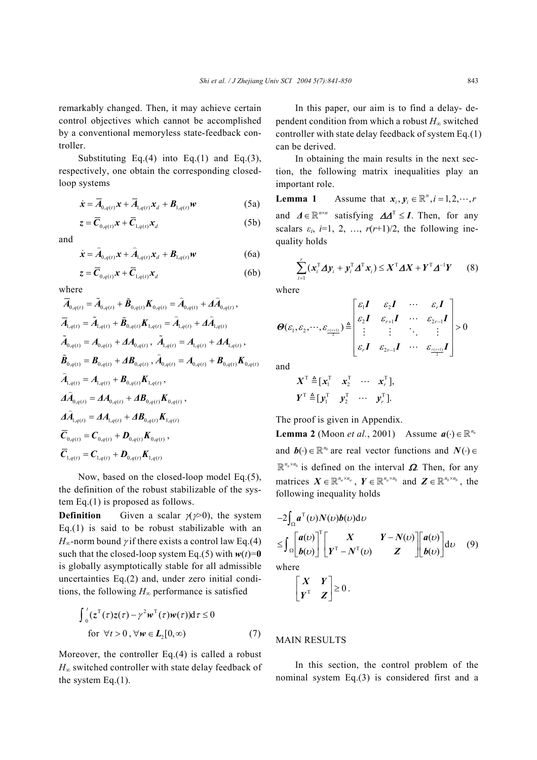remarkably changed. Then, it may achieve certain control objectives which cannot be accomplished by a conventional memoryless state-feedback controller.

Substituting Eq.(4) into Eq.(1) and Eq.(3), respectively, one obtain the corresponding closedloop systems

$$
\dot{\mathbf{x}} = \overline{A}_{0,q(t)} \mathbf{x} + \overline{A}_{1,q(t)} \mathbf{x}_d + \mathbf{B}_{1,q(t)} \mathbf{w}
$$
 (5a)

$$
z = \overline{C}_{0,q(t)} x + \overline{C}_{1,q(t)} x_d \tag{5b}
$$

and

$$
\dot{\boldsymbol{x}} = \hat{A}_{0,q(t)} \boldsymbol{x} + \hat{A}_{1,q(t)} \boldsymbol{x}_d + \boldsymbol{B}_{1,q(t)} \boldsymbol{w}
$$
 (6a)

$$
z = \overline{C}_{0,q(t)} x + \overline{C}_{1,q(t)} x_d \tag{6b}
$$

where

$$
\overline{A}_{0,q(t)} = \tilde{A}_{0,q(t)} + \tilde{B}_{0,q(t)} K_{0,q(t)} = \hat{A}_{0,q(t)} + \Delta \hat{A}_{0,q(t)},
$$
\n
$$
\overline{A}_{1,q(t)} = \tilde{A}_{1,q(t)} + \tilde{B}_{0,q(t)} K_{1,q(t)} = \hat{A}_{1,q(t)} + \Delta \hat{A}_{1,q(t)}
$$
\n
$$
\tilde{A}_{0,q(t)} = A_{0,q(t)} + \Delta A_{0,q(t)}, \ \tilde{A}_{1,q(t)} = A_{1,q(t)} + \Delta A_{1,q(t)},
$$
\n
$$
\tilde{B}_{0,q(t)} = B_{0,q(t)} + \Delta B_{0,q(t)}, \ \hat{A}_{0,q(t)} = A_{0,q(t)} + B_{0,q(t)} K_{0,q(t)}
$$
\n
$$
\hat{A}_{1,q(t)} = A_{1,q(t)} + B_{0,q(t)} K_{1,q(t)},
$$
\n
$$
\Delta \hat{A}_{0,q(t)} = \Delta A_{0,q(t)} + \Delta B_{0,q(t)} K_{0,q(t)},
$$
\n
$$
\Delta \hat{A}_{1,q(t)} = \Delta A_{1,q(t)} + \Delta B_{0,q(t)} K_{1,q(t)}
$$
\n
$$
\overline{C}_{0,q(t)} = C_{0,q(t)} + D_{0,q(t)} K_{0,q(t)},
$$
\n
$$
\overline{C}_{1,q(t)} = C_{1,q(t)} + D_{0,q(t)} K_{1,q(t)}
$$

Now, based on the closed-loop model Eq.(5), the definition of the robust stabilizable of the system Eq.(1) is proposed as follows.

**Definition** Given a scalar  $\chi$ (γ>0), the system Eq.(1) is said to be robust stabilizable with an  $H_{\infty}$ -norm bound *γ* if there exists a control law Eq.(4) such that the closed-loop system Eq.(5) with  $w(t)=0$ is globally asymptotically stable for all admissible uncertainties Eq.(2) and, under zero initial conditions, the following  $H_{\infty}$  performance is satisfied

$$
\int_0^t (z^{\mathrm{T}}(\tau)z(\tau) - \gamma^2 w^{\mathrm{T}}(\tau)w(\tau))d\tau \le 0
$$
  
for  $\forall t > 0$ ,  $\forall w \in L_2[0, \infty)$  (7)

Moreover, the controller Eq.(4) is called a robust *H*<sub>∞</sub> switched controller with state delay feedback of the system  $Eq.(1)$ .

In this paper, our aim is to find a delay- dependent condition from which a robust *H*∞ switched controller with state delay feedback of system Eq.(1) can be derived.

In obtaining the main results in the next section, the following matrix inequalities play an important role.

**Lemma 1** Assume that  $x_i, y_i \in \mathbb{R}^n, i = 1, 2, \dots, r$ and  $\Delta \in \mathbb{R}^{n \times n}$  satisfying  $\Delta \Delta^{T} \leq I$ . Then, for any scalars  $\varepsilon_i$ ,  $i=1, 2, ..., r(r+1)/2$ , the following inequality holds

$$
\sum_{i=1}^r (\boldsymbol{x}_i^{\mathrm{T}} \boldsymbol{\Delta} \boldsymbol{y}_i + \boldsymbol{y}_i^{\mathrm{T}} \boldsymbol{\Delta}^{\mathrm{T}} \boldsymbol{x}_i) \leq \boldsymbol{X}^{\mathrm{T}} \boldsymbol{\Delta} \boldsymbol{X} + \boldsymbol{Y}^{\mathrm{T}} \boldsymbol{\Delta}^{-1} \boldsymbol{Y} \qquad (8)
$$

where

$$
\boldsymbol{\Theta}(\varepsilon_1,\varepsilon_2,\cdots,\varepsilon_{\frac{r(r+1)}{2}}) \stackrel{\triangle}{=} \begin{bmatrix} \varepsilon_1 \boldsymbol{I} & \varepsilon_2 \boldsymbol{I} & \cdots & \varepsilon_r \boldsymbol{I} \\ \varepsilon_2 \boldsymbol{I} & \varepsilon_{r+1} \boldsymbol{I} & \cdots & \varepsilon_{2r-1} \boldsymbol{I} \\ \vdots & \vdots & \ddots & \vdots \\ \varepsilon_r \boldsymbol{I} & \varepsilon_{2r-1} \boldsymbol{I} & \cdots & \varepsilon_{\frac{r(r+1)}{2}} \boldsymbol{I} \end{bmatrix} > 0
$$

and

$$
X^{\mathrm{T}} \triangleq [x_1^{\mathrm{T}} \quad x_2^{\mathrm{T}} \quad \cdots \quad x_r^{\mathrm{T}}],
$$
  

$$
Y^{\mathrm{T}} \triangleq [y_1^{\mathrm{T}} \quad y_2^{\mathrm{T}} \quad \cdots \quad y_r^{\mathrm{T}}].
$$

The proof is given in Appendix.

**Lemma 2** (Moon *et al.*, 2001) Assume  $a(\cdot) \in \mathbb{R}^{n_a}$ and  $\mathbf{b}(\cdot) \in \mathbb{R}^{n_b}$  are real vector functions and  $N(\cdot) \in$  $\mathbb{R}^{n_a \times n_b}$  is defined on the interval  $\Omega$ . Then, for any matrices  $X \in \mathbb{R}^{n_a \times n_a}$ ,  $Y \in \mathbb{R}^{n_a \times n_b}$  and  $Z \in \mathbb{R}^{n_b \times n_b}$ , the following inequality holds

$$
-2\int_{\Omega} a^{T}(v)N(v)b(v)dv
$$
  
\n
$$
\leq \int_{\Omega} \begin{bmatrix} a(v) \\ b(v) \end{bmatrix}^{T} \begin{bmatrix} X & Y-N(v) \\ Y^{T}-N^{T}(v) & Z \end{bmatrix} \begin{bmatrix} a(v) \\ b(v) \end{bmatrix} dv \quad (9)
$$

where

$$
\begin{bmatrix} X & Y \\ Y^T & Z \end{bmatrix} \geq 0.
$$

#### MAIN RESULTS

In this section, the control problem of the nominal system Eq.(3) is considered first and a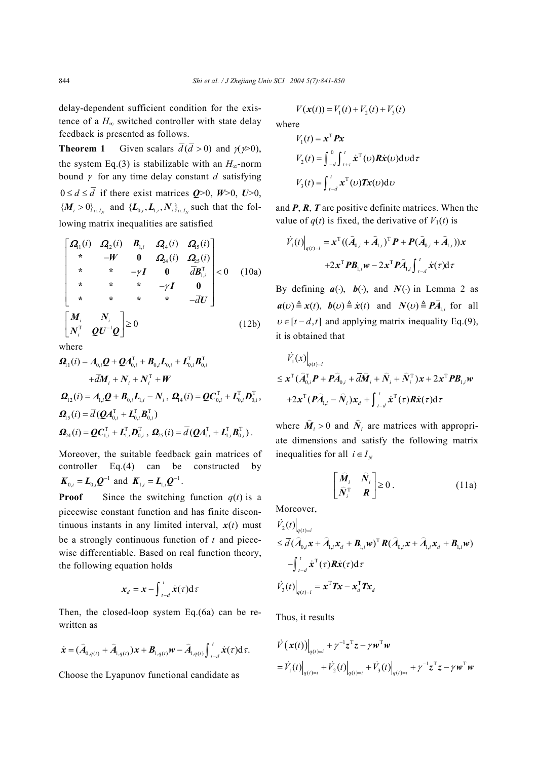delay-dependent sufficient condition for the existence of a  $H_{\infty}$  switched controller with state delay feedback is presented as follows.

**Theorem 1** Given scalars  $\overline{d}(\overline{d} > 0)$  and  $\gamma \gg 0$ ), the system Eq.(3) is stabilizable with an  $H_{\infty}$ -norm bound  $\gamma$  for any time delay constant *d* satisfying  $0 \le d \le \overline{d}$  if there exist matrices  $Q>0$ ,  $W>0$ ,  $U>0$ ,  ${M_i > 0}_{i \in I_N}$  and  ${L_{0,i}, L_{1,i}, N_i}_{i \in I_N}$  such that the following matrix inequalities are satisfied

$$
\begin{bmatrix}\n\mathbf{Q}_{1}(i) & \mathbf{Q}_{2}(i) & \mathbf{B}_{1,i} & \mathbf{Q}_{4}(i) & \mathbf{Q}_{5}(i) \\
\ast & -\mathbf{W} & \mathbf{0} & \mathbf{Q}_{24}(i) & \mathbf{Q}_{25}(i) \\
\star & \ast & -\gamma \mathbf{I} & \mathbf{0} & \bar{d} \mathbf{B}_{1,i}^{\mathrm{T}} \\
\star & \ast & \ast & -\gamma \mathbf{I} & \mathbf{0} \\
\star & \ast & \ast & \ast & -\bar{d} \mathbf{U}\n\end{bmatrix} < 0
$$
\n(10a)\n
$$
\begin{bmatrix}\n\mathbf{M}_{i} & \mathbf{N}_{i} \\
\mathbf{N}_{i}^{\mathrm{T}} & \mathbf{Q} \mathbf{U}^{-1} \mathbf{Q}\n\end{bmatrix} \geq 0
$$
\n(12b)

where

$$
\begin{split} \mathbf{\Omega}_{11}(i) &= A_{0,i} \mathbf{Q} + \mathbf{Q} A_{0,i}^{\mathrm{T}} + \mathbf{B}_{0,i} \mathbf{L}_{0,i} + \mathbf{L}_{0,i}^{\mathrm{T}} \mathbf{B}_{0,i}^{\mathrm{T}} \\ &+ \overline{d} \mathbf{M}_{i} + \mathbf{N}_{i} + \mathbf{N}_{i}^{\mathrm{T}} + \mathbf{W} \\ \mathbf{\Omega}_{12}(i) &= A_{1,i} \mathbf{Q} + \mathbf{B}_{0,i} \mathbf{L}_{1,i} - \mathbf{N}_{i} \,, \, \mathbf{\Omega}_{14}(i) = \mathbf{Q} \mathbf{C}_{0,i}^{\mathrm{T}} + \mathbf{L}_{0,i}^{\mathrm{T}} \mathbf{D}_{0,i}^{\mathrm{T}} \,, \\ \mathbf{\Omega}_{15}(i) &= \overline{d} \left( \mathbf{Q} A_{0,i}^{\mathrm{T}} + \mathbf{L}_{0,i}^{\mathrm{T}} \mathbf{B}_{0,i}^{\mathrm{T}} \right) \\ \mathbf{\Omega}_{24}(i) &= \mathbf{Q} \mathbf{C}_{1,i}^{\mathrm{T}} + \mathbf{L}_{1,i}^{\mathrm{T}} \mathbf{D}_{0,i}^{\mathrm{T}} \,, \, \mathbf{\Omega}_{25}(i) = \overline{d} \left( \mathbf{Q} A_{1,i}^{\mathrm{T}} + \mathbf{L}_{1,i}^{\mathrm{T}} \mathbf{B}_{0,i}^{\mathrm{T}} \right) \,. \end{split}
$$

Moreover, the suitable feedback gain matrices of controller Eq.(4) can be constructed by  $K_{0,i} = L_{0,i} Q^{-1}$  and  $K_{1,i} = L_{1,i} Q^{-1}$ .

**Proof** Since the switching function  $q(t)$  is a piecewise constant function and has finite discontinuous instants in any limited interval,  $x(t)$  must be a strongly continuous function of *t* and piecewise differentiable. Based on real function theory, the following equation holds

$$
\boldsymbol{x}_{d} = \boldsymbol{x} - \int_{t-d}^{t} \dot{\boldsymbol{x}}(\tau) d\tau
$$

Then, the closed-loop system Eq.(6a) can be rewritten as

$$
\dot{\bm{x}} = (\hat{A}_{0,q(t)} + \hat{A}_{1,q(t)})\bm{x} + \bm{B}_{1,q(t)}\bm{w} - \hat{A}_{1,q(t)}\int_{t-d}^{t} \dot{\bm{x}}(\tau) d\tau.
$$

Choose the Lyapunov functional candidate as

$$
V(\mathbf{x}(t)) = V_1(t) + V_2(t) + V_3(t)
$$

where

$$
V_1(t) = \mathbf{x}^{\mathrm{T}} \mathbf{P} \mathbf{x}
$$
  
\n
$$
V_2(t) = \int_{-d}^{0} \int_{t+\tau}^{t} \dot{\mathbf{x}}^{\mathrm{T}}(v) \mathbf{R} \dot{\mathbf{x}}(v) \mathrm{d}v \mathrm{d}\tau
$$
  
\n
$$
V_3(t) = \int_{t-d}^{t} \mathbf{x}^{\mathrm{T}}(v) \mathbf{T} \mathbf{x}(v) \mathrm{d}v
$$

and *P*, *R*, *T* are positive definite matrices. When the value of  $q(t)$  is fixed, the derivative of  $V_1(t)$  is

$$
\dot{V}_1(t)\Big|_{q(t)=i} = \mathbf{x}^{\mathrm{T}}((\hat{A}_{0,i} + \hat{A}_{1,i})^{\mathrm{T}} \mathbf{P} + \mathbf{P}(\hat{A}_{0,i} + \hat{A}_{1,i}))\mathbf{x}
$$

$$
+ 2\mathbf{x}^{\mathrm{T}} \mathbf{P} \mathbf{B}_{1,i} \mathbf{w} - 2\mathbf{x}^{\mathrm{T}} \mathbf{P} \hat{A}_{1,i} \int_{t-d}^{t} \dot{\mathbf{x}}(\tau) d\tau
$$

By defining  $a(·)$ ,  $b(·)$ , and  $N(·)$  in Lemma 2 as  $a(v) \triangleq x(t), b(v) \triangleq \dot{x}(t)$  and  $N(v) \triangleq P\hat{A}_{1,i}$  for all  $v \in [t - d, t]$  and applying matrix inequality Eq.(9), it is obtained that

$$
\begin{aligned}\n\dot{V}_1(x)\Big|_{q(t)=i} \\
&\leq \mathbf{x}^{\mathrm{T}}(\widehat{\boldsymbol{A}}_{0,i}^{\mathrm{T}}\boldsymbol{P}+\boldsymbol{P}\widehat{\boldsymbol{A}}_{0,i}+\overline{d}\widehat{\boldsymbol{M}}_i+\widehat{\boldsymbol{N}}_i+\widehat{\boldsymbol{N}}_i^{\mathrm{T}})\mathbf{x}+2\mathbf{x}^{\mathrm{T}}\boldsymbol{P}\boldsymbol{B}_{1,i}\boldsymbol{w} \\
&+2\mathbf{x}^{\mathrm{T}}(\boldsymbol{P}\widehat{\boldsymbol{A}}_{1,i}-\widehat{\boldsymbol{N}}_i)\mathbf{x}_d+\int_{t-d}^{t}\dot{\mathbf{x}}^{\mathrm{T}}(\tau)\boldsymbol{R}\dot{\mathbf{x}}(\tau)\mathrm{d}\tau\n\end{aligned}
$$

where  $\hat{M}_i > 0$  and  $\hat{N}_i$ l.  $N_i$  are matrices with appropriate dimensions and satisfy the following matrix inequalities for all  $i \in I_N$ 

$$
\begin{bmatrix} \hat{\mathbf{M}}_i & \hat{\mathbf{N}}_i \\ \hat{\mathbf{N}}_i^{\mathrm{T}} & \mathbf{R} \end{bmatrix} \ge 0.
$$
 (11a)

Moreover,

$$
\dot{V}_2(t)\Big|_{q(t)=i}
$$
\n
$$
\leq \overline{d}(\hat{A}_{0,i}\mathbf{x} + \hat{A}_{1,i}\mathbf{x}_d + \mathbf{B}_{1,i}\mathbf{w})^{\mathrm{T}}\mathbf{R}(\hat{A}_{0,i}\mathbf{x} + \hat{A}_{1,i}\mathbf{x}_d + \mathbf{B}_{1,i}\mathbf{w})
$$
\n
$$
-\int_{t-d}^{t} \dot{\mathbf{x}}^{\mathrm{T}}(\tau)\mathbf{R}\dot{\mathbf{x}}(\tau)d\tau
$$
\n
$$
\dot{V}_3(t)\Big|_{q(t)=i} = \mathbf{x}^{\mathrm{T}}\mathbf{Tx} - \mathbf{x}_d^{\mathrm{T}}\mathbf{Tx}_d
$$

Thus, it results

$$
\dot{V}(\mathbf{x}(t))\Big|_{q(t)=i} + \gamma^{-1}\mathbf{z}^{\mathrm{T}}\mathbf{z} - \gamma \mathbf{w}^{\mathrm{T}}\mathbf{w}
$$
\n
$$
= \dot{V}_1(t)\Big|_{q(t)=i} + \dot{V}_2(t)\Big|_{q(t)=i} + \dot{V}_3(t)\Big|_{q(t)=i} + \gamma^{-1}\mathbf{z}^{\mathrm{T}}\mathbf{z} - \gamma \mathbf{w}^{\mathrm{T}}\mathbf{w}
$$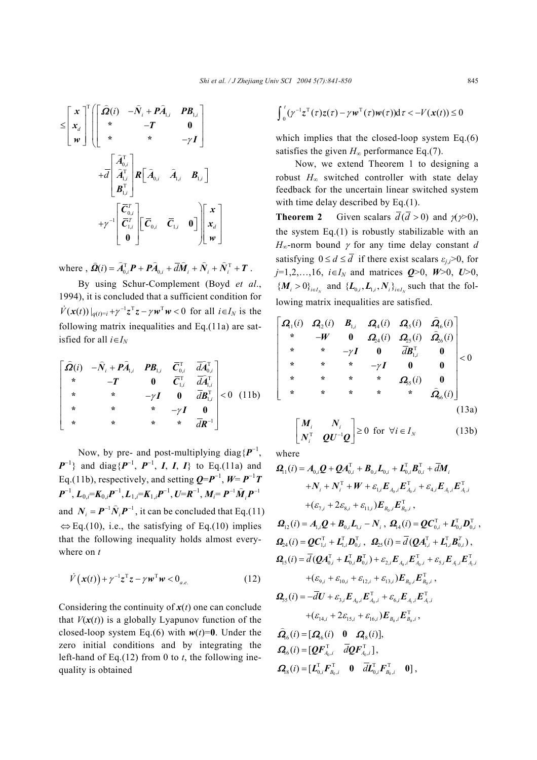$$
\leq \begin{bmatrix} x \\ x_d \\ w \end{bmatrix}^T \begin{bmatrix} \hat{\Omega}(i) & -\hat{N}_i + P\hat{A}_{1,i} & PB_{1,i} \\ * & -T & 0 \\ * & * & -\gamma I \end{bmatrix}
$$

$$
+ \overline{d} \begin{bmatrix} \hat{A}_{0,i}^T \\ \hat{A}_{1,i}^T \\ B_{1,i}^T \end{bmatrix} R \begin{bmatrix} \hat{A}_{0,i} & \hat{A}_{1,i} & B_{1,i} \end{bmatrix}
$$

$$
+ \gamma^{-1} \begin{bmatrix} \overline{C}_{0,i}^T \\ \overline{C}_{1,i}^T \end{bmatrix} \begin{bmatrix} \overline{C}_{0,i} & \overline{C}_{1,i} & 0 \end{bmatrix} \begin{bmatrix} x \\ x_d \\ w \end{bmatrix}
$$

where ,  $\hat{\mathbf{\Omega}}(i) = \hat{A}_{0,i}^{T} \mathbf{P} + \mathbf{P} \hat{A}_{0,i} + \overline{d} \hat{M}_i + \hat{N}_i + \hat{N}_i^{T} + \mathbf{T}$ .

By using Schur-Complement (Boyd *et al*., 1994), it is concluded that a sufficient condition for  $\hat{V}(\mathbf{x}(t))|_{a(t)=i} + \gamma^{-1}\mathbf{z}^{T}\mathbf{z} - \gamma\mathbf{w}^{T}\mathbf{w} < 0$  for all  $i \in I_N$  is the following matrix inequalities and Eq.(11a) are satisfied for all  $i \in I_N$ 

$$
\begin{bmatrix}\n\hat{\mathbf{\Omega}}(i) & -\hat{N}_{i} + \hat{\mathbf{P}} \hat{\mathbf{A}}_{1,i} & \mathbf{P} \mathbf{B}_{1,i} & \overline{\mathbf{C}}_{0,i}^{T} & \overline{d} \overline{\mathbf{\mathcal{A}}}_{0,i}^{T} \\
\ast & -\mathbf{T} & \mathbf{0} & \overline{\mathbf{C}}_{1,i}^{T} & \overline{d} \overline{\mathbf{\mathcal{A}}}_{1,i}^{T} \\
\ast & \ast & -\gamma \mathbf{I} & \mathbf{0} & \overline{d} \mathbf{B}_{1,i}^{T} \\
\ast & \ast & \ast & -\gamma \mathbf{I} & \mathbf{0} \\
\ast & \ast & \ast & -\gamma \mathbf{I} & \mathbf{0} \\
\ast & \ast & \ast & \overline{d} \mathbf{R}^{-1}\n\end{bmatrix} < 0 \quad (11b)
$$

Now, by pre- and post-multiplying diag{*P*<sup>−</sup><sup>1</sup> , *P*<sup>−1</sup>} and diag{*P*<sup>−1</sup>, *P*<sup>−1</sup>, *I*, *I*, *I*} to Eq.(11a) and Eq.(11b), respectively, and setting  $Q = P^{-1}$ ,  $W = P^{-1}T$  $P^{-1}$ ,  $L_{0,i} = K_{0,i}P^{-1}$ ,  $L_{1,i} = K_{1,i}P^{-1}$ ,  $U = R^{-1}$ ,  $M_i = P^{-1}\hat{M}_iP^{-1}$ and  $N_i = P^{-1} \hat{N}_i P^{-1}$ , it can be concluded that Eq.(11)  $\Leftrightarrow$  Eq.(10), i.e., the satisfying of Eq.(10) implies that the following inequality holds almost everywhere on *t* 

$$
\dot{V}\left(\boldsymbol{x}(t)\right) + \gamma^{-1}\boldsymbol{z}^{\mathrm{T}}\boldsymbol{z} - \gamma \boldsymbol{w}^{\mathrm{T}}\boldsymbol{w} < \boldsymbol{0}_{a.e.} \tag{12}
$$

Considering the continuity of  $x(t)$  one can conclude that  $V(x(t))$  is a globally Lyapunov function of the closed-loop system Eq.(6) with  $w(t)=0$ . Under the zero initial conditions and by integrating the left-hand of Eq.(12) from 0 to *t*, the following inequality is obtained

$$
\int_0^t (\gamma^{-1} z^{\mathrm{T}}(\tau) z(\tau) - \gamma w^{\mathrm{T}}(\tau) w(\tau)) \mathrm{d}\tau < -V(x(t)) \leq 0
$$

which implies that the closed-loop system Eq.(6) satisfies the given  $H_{\infty}$  performance Eq.(7).

Now, we extend Theorem 1 to designing a robust *H*∞ switched controller with state delay feedback for the uncertain linear switched system with time delay described by Eq.(1).

**Theorem 2** Given scalars  $\overline{d}(\overline{d} > 0)$  and  $\gamma \gg 0$ ), the system Eq.(1) is robustly stabilizable with an  $H_{\infty}$ -norm bound  $\gamma$  for any time delay constant *d* satisfying  $0 \le d \le \overline{d}$  if there exist scalars  $\varepsilon_i \ge 0$ , for *j*=1,2,...,16, *i*∈*I<sub>N</sub>* and matrices  $Q>0$ ,  $W>0$ ,  $U>0$ ,  ${M_i > 0}_{i \in I_v}$  and  ${L_{0,i}, L_{1,i}, N_i}_{i \in I_v}$  such that the following matrix inequalities are satisfied.

$$
\begin{bmatrix}\n\mathbf{Q}_{1}(i) & \mathbf{Q}_{2}(i) & \mathbf{B}_{1,i} & \mathbf{Q}_{4}(i) & \mathbf{Q}_{5}(i) & \hat{\mathbf{Q}}_{6}(i) \\
\ast & -\mathbf{W} & \mathbf{0} & \mathbf{Q}_{24}(i) & \mathbf{Q}_{25}(i) & \hat{\mathbf{Q}}_{26}(i) \\
\ast & \ast & -\gamma \mathbf{I} & \mathbf{0} & d\mathbf{B}_{1,i}^{\mathrm{T}} & \mathbf{0} \\
\ast & \ast & \ast & -\gamma \mathbf{I} & \mathbf{0} & \mathbf{0} \\
\ast & \ast & \ast & \ast & \mathbf{Q}_{5}(i) & \mathbf{0} \\
\ast & \ast & \ast & \ast & \mathbf{Q}_{6}(i)\n\end{bmatrix} < 0
$$
\n(13a)

$$
\begin{bmatrix} M_i & N_i \\ N_i^{\mathrm{T}} & \mathbf{Q} \mathbf{U}^{-1} \mathbf{Q} \end{bmatrix} \geq 0 \text{ for } \forall i \in I_N \tag{13b}
$$

where

$$
\mathbf{Q}_{1}(i) = A_{0,i}\mathbf{Q} + \mathbf{Q}A_{0,i}^{T} + \mathbf{B}_{0,i}L_{0,i} + L_{0,i}^{T}\mathbf{B}_{0,i}^{T} + \overline{d}\mathbf{M}_{i} \n+ N_{i} + N_{i}^{T} + W + \varepsilon_{1,i}\mathbf{E}_{A_{0},i}\mathbf{E}_{A_{0},i}^{T} + \varepsilon_{4,i}\mathbf{E}_{A_{1},i}\mathbf{E}_{A_{1},i}^{T} \n+ (\varepsilon_{7,i} + 2\varepsilon_{8,i} + \varepsilon_{11,i})\mathbf{E}_{B_{0},i}\mathbf{E}_{B_{0},i}^{T}, \n\mathbf{Q}_{12}(i) = A_{1,i}\mathbf{Q} + \mathbf{B}_{0,i}\mathbf{L}_{1,i} - N_{i}, \ \mathbf{\Omega}_{14}(i) = \mathbf{Q}\mathbf{C}_{0,i}^{T} + \mathbf{L}_{0,i}^{T}\mathbf{D}_{0,i}^{T}, \n\mathbf{Q}_{24}(i) = \mathbf{Q}\mathbf{C}_{1,i}^{T} + \mathbf{L}_{1,i}^{T}\mathbf{D}_{0,i}^{T}, \ \mathbf{\Omega}_{25}(i) = \overline{d}(\mathbf{Q}\mathbf{A}_{1,i}^{T} + \mathbf{L}_{1,i}^{T}\mathbf{B}_{0,i}^{T}), \n\mathbf{Q}_{15}(i) = \overline{d}(\mathbf{Q}\mathbf{A}_{0,i}^{T} + \mathbf{L}_{0,i}^{T}\mathbf{B}_{0,i}^{T}) + \varepsilon_{2,i}\mathbf{E}_{A_{0},i}\mathbf{E}_{A_{0},i}^{T} + \varepsilon_{5,i}\mathbf{E}_{A_{1},i}\mathbf{E}_{A_{1},i}^{T} \n+ (\varepsilon_{9,i} + \varepsilon_{10,i} + \varepsilon_{12,i} + \varepsilon_{13,i})\mathbf{E}_{B_{0},i}\mathbf{E}_{B_{0},i}^{T}, \n\mathbf{Q}_{25}(i) = -\overline{d}\mathbf{U} + \varepsilon_{3,i}\mathbf{E}_{A_{0},i}\mathbf{E}_{A_{0},i}^{T} + \varepsilon_{6,i}\mathbf{E}_{A_{1},i}\mathbf{E}_{A_{1},i}^{T} \n+ (\varepsilon_{14,i
$$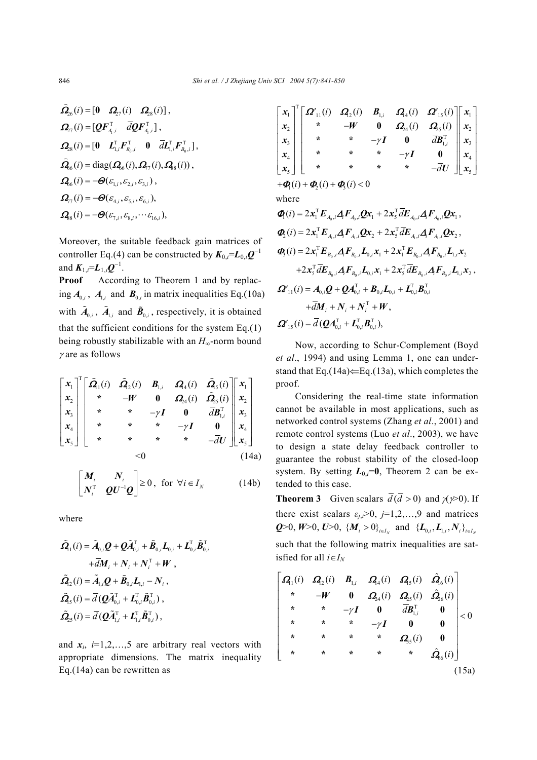$$
\hat{\Omega}_{26}(i) = [\mathbf{0} \quad \mathbf{\Omega}_{27}(i) \quad \mathbf{\Omega}_{28}(i)], \n\mathbf{\Omega}_{27}(i) = [\mathbf{Q} \mathbf{F}_{A_i,i}^{\mathrm{T}} \quad \overline{d} \mathbf{Q} \mathbf{F}_{A_i,i}^{\mathrm{T}}], \n\mathbf{\Omega}_{28}(i) = [\mathbf{0} \quad \mathbf{L}_{1,i}^{\mathrm{T}} \mathbf{F}_{B_0,i}^{\mathrm{T}} \quad \mathbf{0} \quad \overline{d} \mathbf{L}_{1,i}^{\mathrm{T}} \mathbf{F}_{B_0,i}^{\mathrm{T}}], \n\hat{\mathbf{\Omega}}_{66}(i) = \text{diag}(\mathbf{\Omega}_{66}(i), \mathbf{\Omega}_{77}(i), \mathbf{\Omega}_{88}(i)), \n\mathbf{\Omega}_{66}(i) = -\mathbf{\Theta}(\varepsilon_{1,i}, \varepsilon_{2,i}, \varepsilon_{3,i}), \n\mathbf{\Omega}_{77}(i) = -\mathbf{\Theta}(\varepsilon_{4,i}, \varepsilon_{5,i}, \varepsilon_{6,i}), \n\mathbf{\Omega}_{88}(i) = -\mathbf{\Theta}(\varepsilon_{7,i}, \varepsilon_{8,i}, \cdots \varepsilon_{16,i}),
$$

Moreover, the suitable feedback gain matrices of controller Eq.(4) can be constructed by  $K_{0,i} = L_{0,i}Q^{-1}$ and  $K_{1,i} = L_{1,i} Q^{-1}$ .

**Proof** According to Theorem 1 and by replacing  $A_{0i}$ ,  $A_{1i}$  and  $B_{0i}$  in matrix inequalities Eq.(10a) with  $\tilde{A}_{0i}$ ,  $\tilde{A}_{1i}$  and  $\tilde{B}_{0i}$ , respectively, it is obtained that the sufficient conditions for the system  $Eq.(1)$ being robustly stabilizable with an *H*∞-norm bound <sup>γ</sup> are as follows

$$
\begin{bmatrix} x_1 \\ x_2 \\ x_3 \\ x_4 \\ x_5 \end{bmatrix} \begin{bmatrix} \tilde{\mathbf{Q}}_1(i) & \tilde{\mathbf{Q}}_2(i) & \mathbf{B}_{1,i} & \mathbf{Q}_4(i) & \tilde{\mathbf{Q}}_5(i) \\ \ast & -\mathbf{W} & \mathbf{0} & \mathbf{Q}_2(1) & \tilde{\mathbf{Q}}_5(i) \\ \ast & \ast & -\gamma \mathbf{I} & \mathbf{0} & \bar{d} \mathbf{B}_{1,i}^{\mathrm{T}} \\ \ast & \ast & \ast & -\gamma \mathbf{I} & \mathbf{0} \\ \ast & \ast & \ast & -\gamma \mathbf{I} & \mathbf{0} \\ \ast & \ast & \ast & \ast & -\bar{d} \mathbf{U} \end{bmatrix} \begin{bmatrix} x_1 \\ x_2 \\ x_3 \\ x_4 \\ x_5 \end{bmatrix}
$$
\n
$$
<0
$$
\n
$$
<0
$$
\n
$$
(14a)
$$

$$
\begin{bmatrix} M_i & N_i \\ N_i^{\mathrm{T}} & \mathbf{Q} \mathbf{U}^{-1} \mathbf{Q} \end{bmatrix} \geq 0, \text{ for } \forall i \in I_N \tag{14b}
$$

where

$$
\tilde{\mathbf{\Omega}}_{1}(i) = \tilde{A}_{0,i}\mathbf{Q} + \mathbf{Q}\tilde{A}_{0,i}^{\mathrm{T}} + \tilde{\mathbf{B}}_{0,i}\mathbf{L}_{0,i} + \mathbf{L}_{0,i}^{\mathrm{T}}\tilde{\mathbf{B}}_{0,i}^{\mathrm{T}} \n+ \overline{d}\mathbf{M}_{i} + \mathbf{N}_{i} + \mathbf{N}_{i}^{\mathrm{T}} + \mathbf{W} ,\n\tilde{\mathbf{\Omega}}_{2}(i) = \tilde{\mathbf{A}}_{1,i}\mathbf{Q} + \tilde{\mathbf{B}}_{0,i}\mathbf{L}_{1,i} - \mathbf{N}_{i} ,\n\tilde{\mathbf{\Omega}}_{5}(i) = \overline{d}(\mathbf{Q}\tilde{\mathbf{A}}_{0,i}^{\mathrm{T}} + \mathbf{L}_{0,i}^{\mathrm{T}}\tilde{\mathbf{B}}_{0,i}^{\mathrm{T}}),\n\tilde{\mathbf{\Omega}}_{25}(i) = \overline{d}(\mathbf{Q}\tilde{\mathbf{A}}_{1,i}^{\mathrm{T}} + \mathbf{L}_{1,i}^{\mathrm{T}}\tilde{\mathbf{B}}_{0,i}^{\mathrm{T}}),
$$

and  $x_i$ ,  $i=1,2,...,5$  are arbitrary real vectors with appropriate dimensions. The matrix inequality Eq.(14a) can be rewritten as

| $\begin{bmatrix} x_1 \\ x_2 \\ x_3 \\ x_4 \\ x_5 \end{bmatrix}^{\text{T}} \begin{bmatrix} \boldsymbol{\Omega'}_{11}(i) & \boldsymbol{\Omega}_{2}(i) & \boldsymbol{\mathcal{B}}_{1,i} & \boldsymbol{\Omega}_{4}(i) & \boldsymbol{\Omega'}_{15}(i) \\ * & -\boldsymbol{W} & \boldsymbol{0} & \boldsymbol{\Omega}_{24}(i) & \boldsymbol{\Omega}_{25}(i) \\ * & * & -\gamma \boldsymbol{I} & \boldsymbol{0} & \bar{d} \boldsymbol{\mathcal{B}}_{1,i}^{\text{T}} \\ * & * & * & -\gamma \boldsymbol{I} & \boldsymbol{0} \\ * & * & * & *$ |  |  |  |
|--------------------------------------------------------------------------------------------------------------------------------------------------------------------------------------------------------------------------------------------------------------------------------------------------------------------------------------------------------------------------------------------------------------------------------------------------------------------------------------------------------------------------------------|--|--|--|
|                                                                                                                                                                                                                                                                                                                                                                                                                                                                                                                                      |  |  |  |

 $+\boldsymbol{\Phi}_1(i) + \boldsymbol{\Phi}_2(i) + \boldsymbol{\Phi}_3(i) < 0$ 

where

$$
\begin{split}\n\Phi_{\!\!i}(i) &= 2\mathbf{x}_{\!\!1}^{\!\top} \boldsymbol{E}_{A_0,i} \boldsymbol{A}_{\!\!f} \boldsymbol{F}_{A_0,i} \boldsymbol{Q} \mathbf{x}_{\!\!1} + 2\mathbf{x}_{\!\!s}^{\!\top} \overline{d} \boldsymbol{E}_{A_0,i} \boldsymbol{A}_{\!\!f} \boldsymbol{F}_{A_0,i} \boldsymbol{Q} \mathbf{x}_{\!\!1} \,, \\
\Phi_{\!\!2}(i) &= 2\mathbf{x}_{\!\!1}^{\!\top} \boldsymbol{E}_{A_1,i} \boldsymbol{A}_{\!\!f} \boldsymbol{F}_{A_1,i} \boldsymbol{Q} \mathbf{x}_{\!\!2} + 2\mathbf{x}_{\!\!s}^{\!\top} \overline{d} \boldsymbol{E}_{A_1,i} \boldsymbol{A}_{\!\!f} \boldsymbol{F}_{A_1,i} \boldsymbol{Q} \mathbf{x}_{\!\!2} \,, \\
\Phi_{\!\!3}(i) &= 2\mathbf{x}_{\!\!1}^{\!\top} \boldsymbol{E}_{B_0,i} \boldsymbol{A}_{\!\!f} \boldsymbol{F}_{B_0,i} \boldsymbol{L}_{0,i} \mathbf{x}_{\!\!1} + 2\mathbf{x}_{\!\!1}^{\!\top} \boldsymbol{E}_{B_0,i} \boldsymbol{A}_{\!\!f} \boldsymbol{F}_{B_0,i} \boldsymbol{L}_{1,i} \mathbf{x}_{\!\!2} \\
&\quad + 2\mathbf{x}_{\!\!s}^{\!\top} \overline{d} \boldsymbol{E}_{B_0,i} \boldsymbol{A}_{\!\!f} \boldsymbol{F}_{B_0,i} \boldsymbol{L}_{0,i} \mathbf{x}_{\!\!1} + 2\mathbf{x}_{\!\!s}^{\!\top} \overline{d} \boldsymbol{E}_{B_0,i} \boldsymbol{A}_{\!\!f} \boldsymbol{F}_{B_0,i} \boldsymbol{L}_{1,i} \mathbf{x}_{\!\!2} \,, \\
\mathbf{\boldsymbol{\Omega}}_{\!\!i}(i) &= \boldsymbol{A}_{0,i} \boldsymbol{Q} + \boldsymbol{Q} \boldsymbol{A}_{0,i}^{\!\top} + \boldsymbol{B}_{0,i} \boldsymbol{L}_{0,i} + \boldsymbol{L}_{0,i}^{\!\top} \boldsymbol{B}_{0,i}^{\!\top} \\
&\quad + \overline{d} \boldsymbol{M}_{i} + \boldsymbol{N
$$

Now, according to Schur-Complement (Boyd *et al*., 1994) and using Lemma 1, one can understand that Eq.(14a) $\Leftarrow$ Eq.(13a), which completes the proof.

Considering the real-time state information cannot be available in most applications, such as networked control systems (Zhang *et al*., 2001) and remote control systems (Luo *et al*., 2003), we have to design a state delay feedback controller to guarantee the robust stability of the closed-loop system. By setting  $L_{0,i}=0$ , Theorem 2 can be extended to this case.

**Theorem 3** Given scalars  $\overline{d}(\overline{d} > 0)$  and  $y \gg 0$ . If there exist scalars  $\varepsilon_{j,i}$ >0,  $j=1,2,...,9$  and matrices *Q*>0, *W*>0, *U*>0, { $M_i > 0$ }<sub>*i*e*I<sub>N</sub>*</sub> and { $L_{0,i}$ ,  $L_{1,i}$ ,  $N_i$ }<sub>*ieI<sub>N</sub>*</sub> such that the following matrix inequalities are satisfied for all  $i \in I_N$ 

$$
\begin{bmatrix}\n\mathbf{Q}_{1}(i) & \mathbf{Q}_{2}(i) & \mathbf{B}_{1,i} & \mathbf{Q}_{4}(i) & \mathbf{Q}_{5}(i) & \hat{\mathbf{Q}}_{6}(i) \\
\ast & -W & 0 & \mathbf{Q}_{24}(i) & \mathbf{Q}_{25}(i) & \hat{\mathbf{Q}}_{26}(i) \\
\ast & \ast & -\gamma I & 0 & dB_{1,i}^{T} & 0 \\
\ast & \ast & \ast & -\gamma I & 0 & 0 \\
\ast & \ast & \ast & \ast & \mathbf{Q}_{5}(i) & 0 \\
\ast & \ast & \ast & \ast & \hat{\mathbf{Q}}_{6}(i)\n\end{bmatrix} < 0
$$
\n(15a)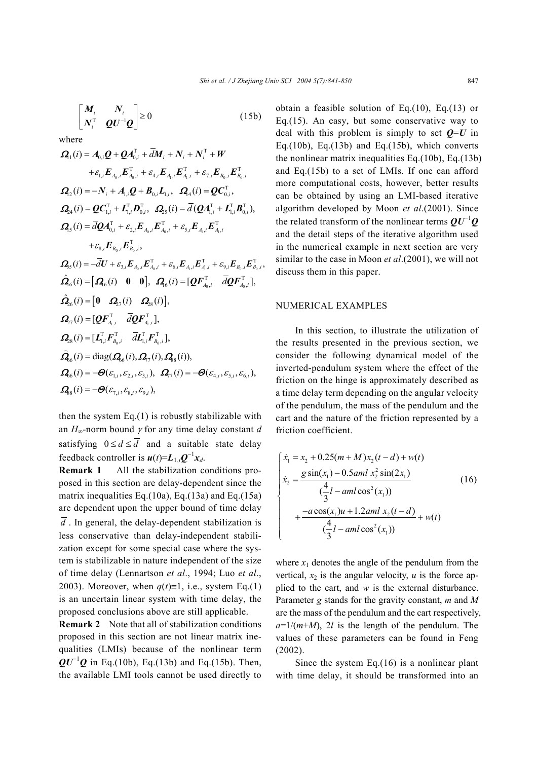$$
\begin{bmatrix} M_i & N_i \\ N_i^{\mathrm{T}} & \mathbf{Q} \mathbf{U}^{-1} \mathbf{Q} \end{bmatrix} \ge 0
$$
 (15b)

where

$$
\mathbf{Q}_{1}(i) = A_{0,i}\mathbf{Q} + \mathbf{Q}A_{0,i}^{T} + \overline{d}\mathbf{M}_{i} + N_{i} + N_{i}^{T} + W
$$
\n
$$
+ \varepsilon_{1,i}\mathbf{E}_{A_{0},i}\mathbf{E}_{A_{0},i}^{T} + \varepsilon_{4,i}\mathbf{E}_{A_{i},i}\mathbf{E}_{A_{i},i}^{T} + \varepsilon_{7,i}\mathbf{E}_{B_{0},i}\mathbf{E}_{B_{0},i}^{T}
$$
\n
$$
\mathbf{Q}_{2}(i) = -N_{i} + A_{1,i}\mathbf{Q} + \mathbf{B}_{0,i}\mathbf{L}_{1,i}, \quad \mathbf{Q}_{4}(i) = \mathbf{Q}\mathbf{C}_{0,i}^{T},
$$
\n
$$
\mathbf{Q}_{24}(i) = \mathbf{Q}\mathbf{C}_{1,i}^{T} + \mathbf{L}_{1,i}^{T}\mathbf{D}_{0,i}^{T}, \quad \mathbf{Q}_{25}(i) = \overline{d}(\mathbf{Q}\mathbf{A}_{1,i}^{T} + \mathbf{L}_{1,i}^{T}\mathbf{B}_{0,i}^{T}),
$$
\n
$$
\mathbf{Q}_{5}(i) = \overline{d}\mathbf{Q}\mathbf{A}_{0,i}^{T} + \varepsilon_{2,i}\mathbf{E}_{A_{0},i}\mathbf{E}_{A_{0},i}^{T} + \varepsilon_{5,i}\mathbf{E}_{A_{1},i}\mathbf{E}_{A_{1},i}^{T}
$$
\n
$$
+ \varepsilon_{8,i}\mathbf{E}_{B_{0},i}\mathbf{E}_{B_{0},i}^{T},
$$
\n
$$
\mathbf{Q}_{5}(i) = -\overline{d}\mathbf{U} + \varepsilon_{3,i}\mathbf{E}_{A_{0},i}\mathbf{E}_{A_{0},i}^{T} + \varepsilon_{6,i}\mathbf{E}_{A_{1},i}\mathbf{E}_{A_{1},i}^{T} + \varepsilon_{9,i}\mathbf{E}_{B_{0},i}\mathbf{E}_{B_{0},i}^{T},
$$
\n
$$
\mathbf{Q}_{6}(i) = [\mathbf{Q}_{6}(i) \quad \mathbf{0} \quad \mathbf{0}], \quad \mathbf{Q}_{6}(i) = [\mathbf{Q}\mathbf{F}_{A_{0},i}^{T} \quad \overline{d}\mathbf{
$$

then the system  $Eq.(1)$  is robustly stabilizable with an  $H_{\infty}$ -norm bound  $\gamma$  for any time delay constant *d* satisfying  $0 \le d \le \overline{d}$  and a suitable state delay feedback controller is  $u(t)=L_{1,i}Q^{-1}x_{d}$ .

**Remark 1** All the stabilization conditions proposed in this section are delay-dependent since the matrix inequalities Eq.(10a), Eq.(13a) and Eq.(15a) are dependent upon the upper bound of time delay  $\overline{d}$ . In general, the delay-dependent stabilization is less conservative than delay-independent stabilization except for some special case where the system is stabilizable in nature independent of the size of time delay (Lennartson *et al*., 1994; Luo *et al*., 2003). Moreover, when  $q(t)=1$ , i.e., system Eq.(1) is an uncertain linear system with time delay, the proposed conclusions above are still applicable.

**Remark 2** Note that all of stabilization conditions proposed in this section are not linear matrix inequalities (LMIs) because of the nonlinear term  $QU^{-1}Q$  in Eq.(10b), Eq.(13b) and Eq.(15b). Then, the available LMI tools cannot be used directly to

obtain a feasible solution of Eq.(10), Eq.(13) or Eq.(15). An easy, but some conservative way to deal with this problem is simply to set  $Q=U$  in Eq.(10b), Eq.(13b) and Eq.(15b), which converts the nonlinear matrix inequalities Eq.(10b), Eq.(13b) and Eq.(15b) to a set of LMIs. If one can afford more computational costs, however, better results can be obtained by using an LMI-based iterative algorithm developed by Moon *et al*.(2001). Since the related transform of the nonlinear terms *QU*<sup>−</sup><sup>1</sup> *Q* and the detail steps of the iterative algorithm used in the numerical example in next section are very similar to the case in Moon *et al*.(2001), we will not discuss them in this paper.

## NUMERICAL EXAMPLES

In this section, to illustrate the utilization of the results presented in the previous section, we consider the following dynamical model of the inverted-pendulum system where the effect of the friction on the hinge is approximately described as a time delay term depending on the angular velocity of the pendulum, the mass of the pendulum and the cart and the nature of the friction represented by a friction coefficient.

$$
\begin{cases}\n\dot{x}_1 = x_2 + 0.25(m+M)x_2(t-d) + w(t) \\
\dot{x}_2 = \frac{g \sin(x_1) - 0.5aml \ x_2^2 \sin(2x_1)}{\frac{4}{3}l - aml \cos^2(x_1)} \\
+ \frac{-a \cos(x_1)u + 1.2aml \ x_2(t-d)}{\frac{4}{3}l - aml \cos^2(x_1)} + w(t)\n\end{cases}
$$
\n(16)

where  $x_1$  denotes the angle of the pendulum from the vertical,  $x_2$  is the angular velocity,  $u$  is the force applied to the cart, and *w* is the external disturbance. Parameter *g* stands for the gravity constant, *m* and *M* are the mass of the pendulum and the cart respectively,  $a=1/(m+M)$ , 2*l* is the length of the pendulum. The values of these parameters can be found in Feng (2002).

Since the system Eq.(16) is a nonlinear plant with time delay, it should be transformed into an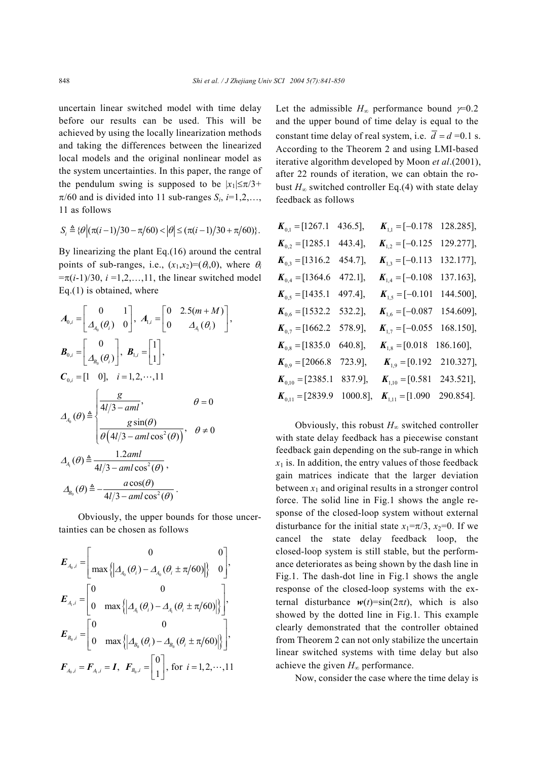uncertain linear switched model with time delay before our results can be used. This will be achieved by using the locally linearization methods and taking the differences between the linearized local models and the original nonlinear model as the system uncertainties. In this paper, the range of the pendulum swing is supposed to be  $|x_1| \leq \pi/3$ +  $\pi/60$  and is divided into 11 sub-ranges  $S_i$ ,  $i=1,2,...$ , 11 as follows

$$
S_i \triangleq \{ \theta \, \Big| \, (\pi(i-1)/30 - \pi/60) < \Big| \theta \Big| \leq (\pi(i-1)/30 + \pi/60) \}.
$$

By linearizing the plant Eq.(16) around the central points of sub-ranges, i.e.,  $(x_1,x_2)=(\theta_i,0)$ , where  $\theta_i$  $=\pi(i-1)/30$ ,  $i = 1, 2, ..., 11$ , the linear switched model Eq.(1) is obtained, where

$$
A_{0,i} = \begin{bmatrix} 0 & 1 \\ A_{a_0}(\theta_i) & 0 \end{bmatrix}, A_{1,i} = \begin{bmatrix} 0 & 2.5(m+M) \\ 0 & A_{A_1}(\theta_i) \end{bmatrix},
$$
  
\n
$$
B_{0,i} = \begin{bmatrix} 0 \\ A_{B_0}(\theta_i) \end{bmatrix}, B_{1,i} = \begin{bmatrix} 1 \\ 1 \end{bmatrix},
$$
  
\n
$$
C_{0,i} = \begin{bmatrix} 1 & 0 \end{bmatrix}, i = 1, 2, \dots, 11
$$
  
\n
$$
A_{A_0}(\theta) \triangleq \begin{cases} \frac{g}{4l/3 - aml}, & \theta = 0 \\ \frac{g \sin(\theta)}{\theta(4l/3 - aml \cos^2(\theta))}, & \theta \neq 0 \end{cases}
$$
  
\n
$$
A_{A_i}(\theta) \triangleq \frac{1.2aml}{4l/3 - aml \cos^2(\theta)},
$$
  
\n
$$
A_{B_0}(\theta) \triangleq -\frac{a \cos(\theta)}{4l/3 - aml \cos^2(\theta)}.
$$

Obviously, the upper bounds for those uncertainties can be chosen as follows

$$
E_{A_0,i} = \begin{bmatrix} 0 & 0 \\ \max\left\{ \left| \Delta_{A_0}(\theta_i) - \Delta_{A_0}(\theta_i \pm \pi/60) \right| \right\} & 0 \end{bmatrix},
$$
  
\n
$$
E_{A_1,i} = \begin{bmatrix} 0 & 0 \\ 0 & \max\left\{ \left| \Delta_{A_1}(\theta_i) - \Delta_{A_1}(\theta_i \pm \pi/60) \right| \right\} \end{bmatrix},
$$
  
\n
$$
E_{B_0,i} = \begin{bmatrix} 0 & 0 \\ 0 & \max\left\{ \left| \Delta_{B_0}(\theta_i) - \Delta_{B_0}(\theta_i \pm \pi/60) \right| \right\} \end{bmatrix},
$$
  
\n
$$
F_{A_0,i} = F_{A_1,i} = I, \ \ F_{B_0,i} = \begin{bmatrix} 0 \\ 1 \end{bmatrix}, \text{ for } i = 1, 2, \dots, 11
$$

Let the admissible  $H_{\infty}$  performance bound  $\gamma$ =0.2 and the upper bound of time delay is equal to the constant time delay of real system, i.e.  $\overline{d} = d = 0.1$  s. According to the Theorem 2 and using LMI-based iterative algorithm developed by Moon *et al*.(2001), after 22 rounds of iteration, we can obtain the robust  $H_{\infty}$  switched controller Eq.(4) with state delay feedback as follows

| $\bm{K}_{0,1} = [1267.1]$                       | 436.5],     | $K_{1,1} = [-0.178]$                | 128.285], |
|-------------------------------------------------|-------------|-------------------------------------|-----------|
| $K_{0,2} = [1285.1]$                            | 443.4],     | $K_{1,2} = [-0.125$                 | 129.277], |
| $K_{0,3} = [1316.2]$                            | 454.7],     | $K_{1,3} = [-0.113]$                | 132.177], |
| $K_{0,4} = [1364.6]$                            | 472.1],     | $K_{1,4} = [-0.108]$                | 137.163], |
| $K_{0,5} = [1435.1 \quad 497.4],$               |             | $\bm{K}_{1,5} = [-0.101]$           | 144.500], |
| $\bm{K}_{0,6} = [1532.2]$                       | 532.2],     | $K_{1,6} = [-0.087]$                | 154.609], |
| $K_{0,7} = [1662.2]$                            | 578.9],     | $K_{1,7} = [-0.055]$                | 168.150], |
| $\bm{K}_{0,8} = [1835.0]$                       | 640.8],     | $\bm{K}_{1,8} = [0.018]$            | 186.160], |
| $\bm{K}_{0,9} = [2066.8]$                       | 723.9],     | $K_{1,9} = [0.192 \quad 210.327],$  |           |
| $\boldsymbol{K}_{0,10} = [2385.1 \quad 837.9],$ |             | $K_{1,10} = [0.581 \ 243.521],$     |           |
| $K_{0,11} = [2839.9]$                           | $1000.8$ ], | $K_{1,11} = [1.090 \quad 290.854].$ |           |

Obviously, this robust *H*∞ switched controller with state delay feedback has a piecewise constant feedback gain depending on the sub-range in which  $x_1$  is. In addition, the entry values of those feedback gain matrices indicate that the larger deviation between  $x_1$  and original results in a stronger control force. The solid line in Fig.1 shows the angle response of the closed-loop system without external disturbance for the initial state  $x_1 = \pi/3$ ,  $x_2 = 0$ . If we cancel the state delay feedback loop, the closed-loop system is still stable, but the performance deteriorates as being shown by the dash line in Fig.1. The dash-dot line in Fig.1 shows the angle response of the closed-loop systems with the external disturbance  $w(t) = \sin(2\pi t)$ , which is also showed by the dotted line in Fig.1. This example clearly demonstrated that the controller obtained from Theorem 2 can not only stabilize the uncertain linear switched systems with time delay but also achieve the given  $H_{\infty}$  performance.

Now, consider the case where the time delay is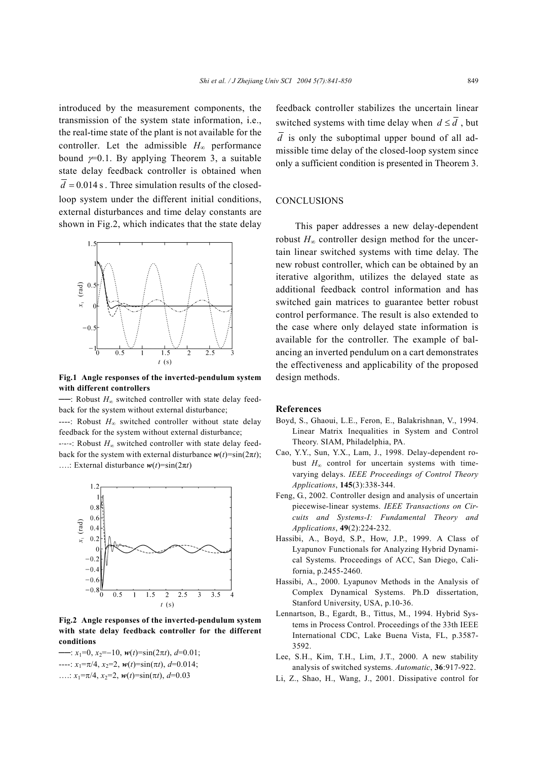introduced by the measurement components, the transmission of the system state information, i.e., the real-time state of the plant is not available for the controller. Let the admissible  $H_{\infty}$  performance bound  $y=0.1$ . By applying Theorem 3, a suitable state delay feedback controller is obtained when  $d = 0.014$  s. Three simulation results of the closedloop system under the different initial conditions, external disturbances and time delay constants are shown in Fig.2, which indicates that the state delay



**Fig.1 Angle responses of the inverted-pendulum system with different controllers** 

──: Robust *H*∞ switched controller with state delay feedback for the system without external disturbance;

----: Robust *H*∞ switched controller without state delay feedback for the system without external disturbance;

-⋅-⋅-: Robust *H*∞ switched controller with state delay feedback for the system with external disturbance  $w(t) = \sin(2\pi t)$ ; ....: External disturbance  $w(t) = \sin(2\pi t)$ 



**Fig.2 Angle responses of the inverted-pendulum system with state delay feedback controller for the different conditions** 

──: *x*1=0, *x*2=−10, *w*(*t*)=sin(2π*t*), *d*=0.01;  $\cdots$ :  $x_1 = \pi/4$ ,  $x_2 = 2$ ,  $w(t) = \sin(\pi t)$ ,  $d = 0.014$ ; ...:  $x_1 = \pi/4$ ,  $x_2 = 2$ ,  $w(t) = \sin(\pi t)$ ,  $d = 0.03$ 

feedback controller stabilizes the uncertain linear switched systems with time delay when  $d \leq \overline{d}$ , but  $\overline{d}$  is only the suboptimal upper bound of all admissible time delay of the closed-loop system since only a sufficient condition is presented in Theorem 3.

### **CONCLUSIONS**

This paper addresses a new delay-dependent robust  $H_{\infty}$  controller design method for the uncertain linear switched systems with time delay. The new robust controller, which can be obtained by an iterative algorithm, utilizes the delayed state as additional feedback control information and has switched gain matrices to guarantee better robust control performance. The result is also extended to the case where only delayed state information is available for the controller. The example of balancing an inverted pendulum on a cart demonstrates the effectiveness and applicability of the proposed design methods.

#### **References**

- Boyd, S., Ghaoui, L.E., Feron, E., Balakrishnan, V., 1994. Linear Matrix Inequalities in System and Control Theory. SIAM, Philadelphia, PA.
- Cao, Y.Y., Sun, Y.X., Lam, J., 1998. Delay-dependent robust  $H<sub>∞</sub>$  control for uncertain systems with timevarying delays. *IEEE Proceedings of Control Theory Applications*, **145**(3):338-344.
- Feng, G., 2002. Controller design and analysis of uncertain piecewise-linear systems. *IEEE Transactions on Circuits and Systems-I: Fundamental Theory and Applications*, **49**(2):224-232.
- Hassibi, A., Boyd, S.P., How, J.P., 1999. A Class of Lyapunov Functionals for Analyzing Hybrid Dynamical Systems. Proceedings of ACC, San Diego, California, p.2455-2460.
- Hassibi, A., 2000. Lyapunov Methods in the Analysis of Complex Dynamical Systems. Ph.D dissertation, Stanford University, USA, p.10-36.
- Lennartson, B., Egardt, B., Tittus, M., 1994. Hybrid Systems in Process Control. Proceedings of the 33th IEEE International CDC, Lake Buena Vista, FL, p.3587- 3592.
- Lee, S.H., Kim, T.H., Lim, J.T., 2000. A new stability analysis of switched systems. *Automatic*, **36**:917-922.
- Li, Z., Shao, H., Wang, J., 2001. Dissipative control for